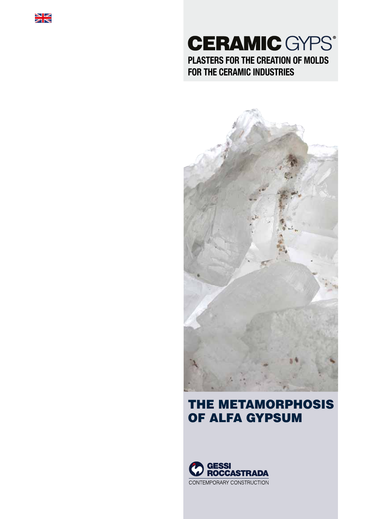

# **CERAMIC GYPS® PLASTERS FOR THE CREATION OF MOLDS FOR THE CERAMIC INDUSTRIES**



## THE METAMORPHOSIS OF ALFA GYPSUM

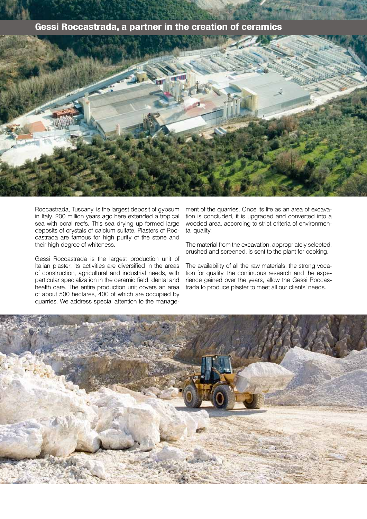## **Gessi Roccastrada, a partner in the creation of ceramics**



Roccastrada, Tuscany, is the largest deposit of gypsum in Italy. 200 million years ago here extended a tropical sea with coral reefs. This sea drying up formed large deposits of crystals of calcium sulfate. Plasters of Roccastrada are famous for high purity of the stone and their high degree of whiteness.

Gessi Roccastrada is the largest production unit of Italian plaster; its activities are diversified in the areas of construction, agricultural and industrial needs, with particular specialization in the ceramic field, dental and health care. The entire production unit covers an area of about 500 hectares, 400 of which are occupied by quarries. We address special attention to the manage-

ment of the quarries. Once its life as an area of excavation is concluded, it is upgraded and converted into a wooded area, according to strict criteria of environmental quality.

The material from the excavation, appropriately selected, crushed and screened, is sent to the plant for cooking.

The availability of all the raw materials, the strong vocation for quality, the continuous research and the experience gained over the years, allow the Gessi Roccastrada to produce plaster to meet all our clients' needs.

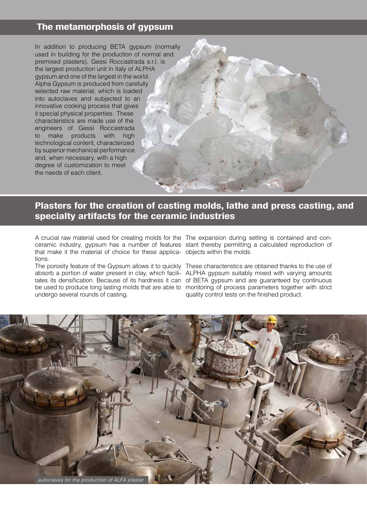## **The metamorphosis of gypsum**

In addition to producing BETA gypsum (normally used in building for the production of normal and premixed plasters), Gessi Roccastrada s.r.l. is the largest production unit in Italy of ALPHA gypsum and one of the largest in the world. Alpha Gypsum is produced from carefully selected raw material, which is loaded into autoclaves and subjected to an innovative cooking process that gives it special physical properties. These characteristics are made use of the engineers of Gessi Roccastrada to make products with high technological content, characterized by superior mechanical performance and, when necessary, with a high degree of customization to meet the needs of each client.

## **Plasters for the creation of casting molds, lathe and press casting, and specialty artifacts for the ceramic industries**

A crucial raw material used for creating molds for the The expansion during setting is contained and conceramic industry, gypsum has a number of features stant thereby permitting a calculated reproduction of that make it the material of choice for these applica-objects within the molds. tions.

undergo several rounds of casting.

The porosity feature of the Gypsum allows it to quickly These characteristics are obtained thanks to the use of absorb a portion of water present in clay, which facili-ALPHA gypsum suitably mixed with varying amounts tates its densification. Because of its hardness it can of BETA gypsum and are guaranteed by continuous be used to produce long lasting molds that are able to monitoring of process parameters together with strict quality control tests on the finished product.

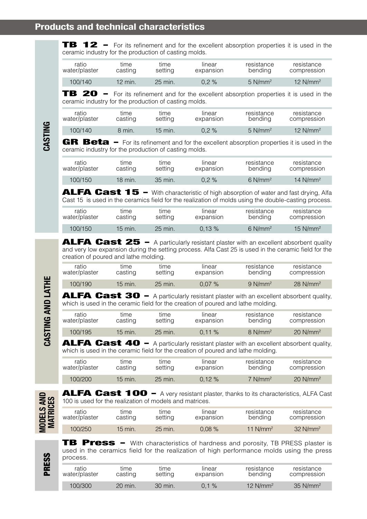**TB 12** - For its refinement and for the excellent absorption properties it is used in the ceramic industry for the production of casting molds.

| ratio         | tıme      | tıme      | linear    | resistance            | resistance  |
|---------------|-----------|-----------|-----------|-----------------------|-------------|
| water/plaster | casting   | setting   | expansion | bending               | compression |
| 100/140       | $12$ min. | $25$ min. | $0.2 \%$  | $5$ N/mm <sup>2</sup> | 12 $N/mm^2$ |

TB 20 - For its refinement and for the excellent absorption properties it is used in the ceramic industry for the production of casting molds.

| ratio         | tıme    | time      | linear    | resistance            | resistance             |
|---------------|---------|-----------|-----------|-----------------------|------------------------|
| water/plaster | casting | setting   | expansion | bending               | compression            |
| 100/140       | 8 min.  | $15$ min. | $0.2 \%$  | $5$ N/mm <sup>2</sup> | $12$ N/mm <sup>2</sup> |

GR Beta - For its refinement and for the excellent absorption properties it is used in the ceramic industry for the production of casting molds.

| ratio         | time    | time    | linear    | resistance            | resistance             |
|---------------|---------|---------|-----------|-----------------------|------------------------|
| water/plaster | casting | setting | expansion | bending               | compression            |
| 100/150       | 18 min. | 35 min. | $0.2 \%$  | $6$ N/mm <sup>2</sup> | $14$ N/mm <sup>2</sup> |

**ALFA Cast 15** - With characteristic of high absorption of water and fast drying, Alfa Cast 15 is used in the ceramics field for the realization of molds using the double-casting process.

| ratio         | tıme      | time      | linear    | resistance            | resistance             |
|---------------|-----------|-----------|-----------|-----------------------|------------------------|
| water/plaster | casting   | setting   | expansion | bending               | compression            |
| 100/150       | $15$ min. | $25$ min. | $0.13 \%$ | $6$ N/mm <sup>2</sup> | $15$ N/mm <sup>2</sup> |

**ALFA Cast 25**  $-$  A particularly resistant plaster with an excellent absorbent quality and very low expansion during the setting process. Alfa Cast 25 is used in the ceramic field for the creation of poured and lathe molding.

| ratio<br>water/plaster | tıme<br>casting | tıme<br>setting | linear<br>expansion | resistance<br>bending | resistance<br>compression |
|------------------------|-----------------|-----------------|---------------------|-----------------------|---------------------------|
| 100/190                | 15 min.         | $25$ min.       | $0.07\%$            | $9$ N/mm <sup>2</sup> | $28$ N/mm <sup>2</sup>    |

**ALFA Cast 30 -** A particularly resistant plaster with an excellent absorbent quality, which is used in the ceramic field for the creation of poured and lathe molding.

| ratio         | tıme      | time      | linear    | resistance            | resistance             |
|---------------|-----------|-----------|-----------|-----------------------|------------------------|
| water/plaster | casting   | setting   | expansion | bending               | compression            |
| 100/195       | $15$ min. | $25$ min. | $0.11 \%$ | $8$ N/mm <sup>2</sup> | $20$ N/mm <sup>2</sup> |

ALFA Cast 40 - A particularly resistant plaster with an excellent absorbent quality, which is used in the ceramic field for the creation of poured and lathe molding.

| ratio         | time      | time    | linear    | resistance            | resistance             |  |
|---------------|-----------|---------|-----------|-----------------------|------------------------|--|
| water/plaster | casting   | setting | expansion | bending               | compression            |  |
| 100/200       | $15$ min. | 25 min. | $0.12 \%$ | $7$ N/mm <sup>2</sup> | $20$ N/mm <sup>2</sup> |  |

**MODELS AND MATRICES**

PRESS

ALFA Cast 100 - A very resistant plaster, thanks to its characteristics, ALFA Cast 100 is used for the realization of models and matrices.

| ratio         | tıme      | tıme      | linear    | resistance  | resistance  |
|---------------|-----------|-----------|-----------|-------------|-------------|
| water/plaster | casting   | setting   | expansion | bending     | compression |
| 100/250       | $15$ min. | $25$ min. | $0.08 \%$ | 11 $N/mm^2$ |             |

**TB Press** - With characteristics of hardness and porosity, TB PRESS plaster is used in the ceramics field for the realization of high performance molds using the press process.

| ratio         | tıme               | time    | linear    | resistance             | resistance             |
|---------------|--------------------|---------|-----------|------------------------|------------------------|
| water/plaster | casting            | setting | expansion | bending                | compression            |
| 100/300       | $20 \text{ min}$ . | 30 min. | $0.1 \%$  | $12$ N/mm <sup>2</sup> | $35$ N/mm <sup>2</sup> |

**CASTING**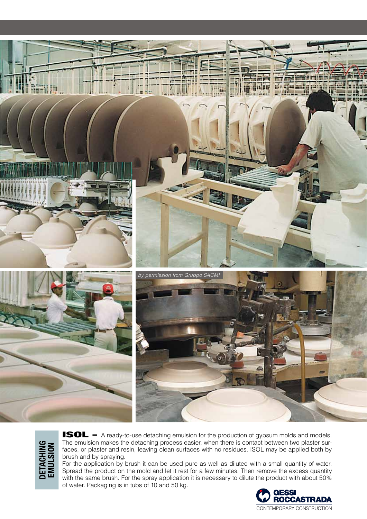

**DETACHING<br>EMULSION DETACHING EMULSION**

**ISOL** - A ready-to-use detaching emulsion for the production of gypsum molds and models. The emulsion makes the detaching process easier, when there is contact between two plaster surfaces, or plaster and resin, leaving clean surfaces with no residues. ISOL may be applied both by brush and by spraying.

For the application by brush it can be used pure as well as diluted with a small quantity of water. Spread the product on the mold and let it rest for a few minutes. Then remove the excess quantity with the same brush. For the spray application it is necessary to dilute the product with about 50% of water. Packaging is in tubs of 10 and 50 kg.

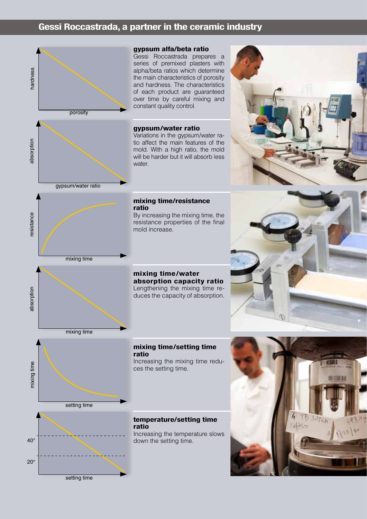## **Gessi Roccastrada, a partner in the ceramic industry**





gypsum/water ratio

### **gypsum alfa/beta ratio**

Gessi Roccastrada prepares a series of premixed plasters with alpha/beta ratios which determine the main characteristics of porosity and hardness. The characteristics of each product are guaranteed over time by careful mixing and constant quality control.

### **gypsum/water ratio**

Variations in the gypsum/water ratio affect the main features of the mold. With a high ratio, the mold will be harder but it will absorb less water.

#### **mixing time/resistance ratio**

By increasing the mixing time, the resistance properties of the final mold increase.

## mixing time

resistance



**mixing time/water absorption capacity ratio** Lengthening the mixing time reduces the capacity of absorption.





#### **mixing time/setting time ratio**

Increasing the mixing time reduces the setting time.

#### **temperature/setting time ratio**

Increasing the temperature slows down the setting time.





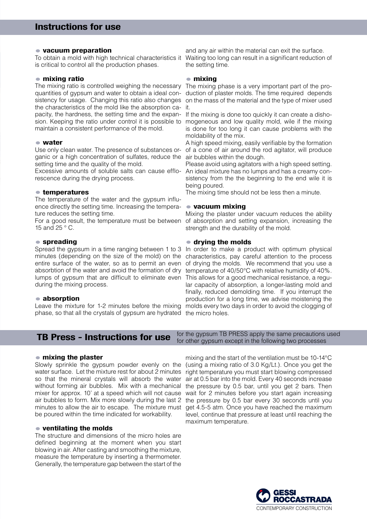#### **• vacuum preparation**

is critical to control all the production phases.

#### **• mixing ratio**

The mixing ratio is controlled weighing the necessary quantities of gypsum and water to obtain a ideal consistency for usage. Changing this ratio also changes the characteristics of the mold like the absorption ca-it. pacity, the hardness, the setting time and the expan-If the mixing is done too quickly it can create a dishosion. Keeping the ratio under control it is possible to mogeneous and low quality mold, wile if the mixing maintain a consistent performance of the mold.

#### **• water**

Use only clean water. The presence of substances organic or a high concentration of sulfates, reduce the setting time and the quality of the mold.

Excessive amounts of soluble salts can cause efflorescence during the drying process.

#### **• temperatures**

The temperature of the water and the gypsum influence directly the setting time. Increasing the temperature reduces the setting time.

For a good result, the temperature must be between 15 and 25 ° C.

#### **• spreading**

Spread the gypsum in a time ranging between 1 to 3 minutes (depending on the size of the mold) on the entire surface of the water, so as to permit an even absorbtion of the water and avoid the formation of dry lumps of gypsum that are difficult to eliminate even This allows for a good mechanical resistance, a reguduring the mixing process.

#### **• absorption**

phase, so that all the crystals of gypsum are hydrated the micro holes.

To obtain a mold with high technical characteristics it Waiting too long can result in a significant reduction of and any air within the material can exit the surface. the setting time.

#### **• mixing**

The mixing phase is a very important part of the production of plaster molds. The time required depends on the mass of the material and the type of mixer used

is done for too long it can cause problems with the moldability of the mix.

A high speed mixing, easily verifiable by the formation of a cone of air around the rod agitator, will produce air bubbles within the dough.

Please avoid using agitators with a high speed setting. An ideal mixture has no lumps and has a creamy consistency from the the beginning to the end wile it is being poured.

The mixing time should not be less then a minute.

#### **• vacuum mixing**

Mixing the plaster under vacuum reduces the ability of absorption and setting expansion, increasing the strength and the durability of the mold.

#### **• drying the molds**

Leave the mixture for 1-2 minutes before the mixing molds every two days in order to avoid the clogging of In order to make a product with optimum physical characteristics, pay careful attention to the process of drying the molds. We recommend that you use a temperature of 40/50°C with relative humidity of 40%. lar capacity of absorption, a longer-lasting mold and finally, reduced demolding time. If you interrupt the production for a long time, we advise moistening the

#### **TB Press - Instructions for use** for the gypsum TB PRESS apply the same precautions used for other gypsum except in the following two processes

#### **• mixing the plaster**

Slowly sprinkle the gypsum powder evenly on the water surface. Let the mixture rest for about 2 minutes so that the mineral crystals will absorb the water without forming air bubbles. Mix with a mechanical mixer for approx. 10' at a speed which will not cause air bubbles to form. Mix more slowly during the last 2 minutes to allow the air to escape. The mixture must be poured within the time indicated for workability.

#### **• ventilating the molds**

The structure and dimensions of the micro holes are defined beginning at the moment when you start blowing in air. After casting and smoothing the mixture, measure the temperature by inserting a thermometer. Generally, the temperature gap between the start of the

mixing and the start of the ventilation must be 10-14°C (using a mixing ratio of 3.0 Kg/Lt.). Once you get the right temperature you must start blowing compressed air at 0.5 bar into the mold. Every 40 seconds increase the pressure by 0.5 bar, until you get 2 bars. Then wait for 2 minutes before you start again increasing the pressure by 0.5 bar every 30 seconds until you get 4.5-5 atm. Once you have reached the maximum level, continue that pressure at least until reaching the maximum temperature.